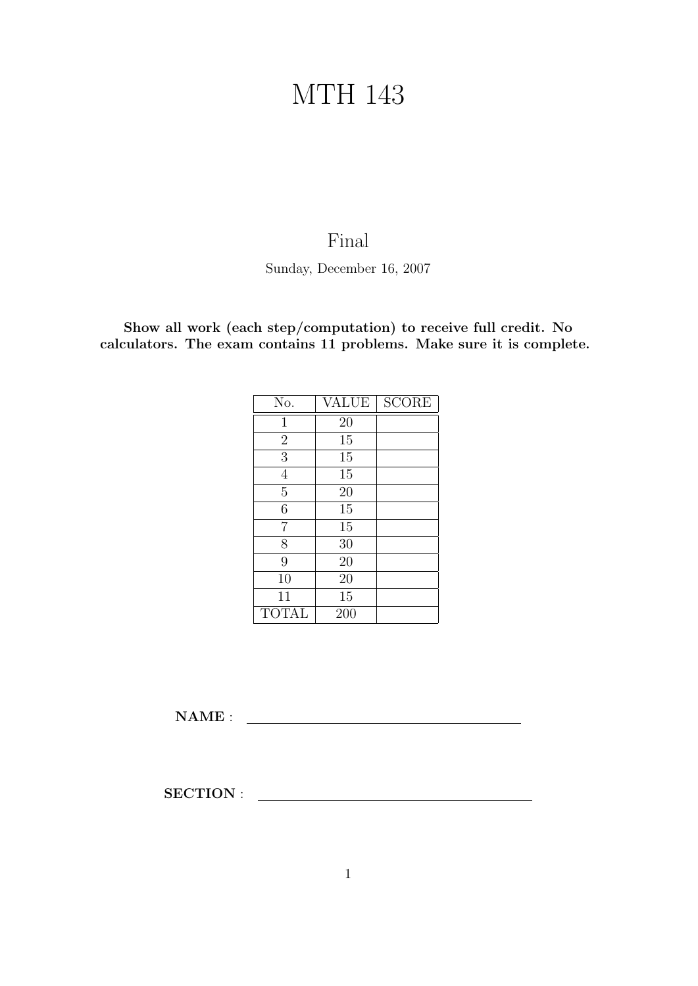## MTH 143

## Final

Sunday, December 16, 2007

Show all work (each step/computation) to receive full credit. No calculators. The exam contains 11 problems. Make sure it is complete.

| No.            | <b>VALUE</b> | <b>SCORE</b> |
|----------------|--------------|--------------|
| 1              | 20           |              |
| $\overline{2}$ | 15           |              |
| 3              | 15           |              |
| $\overline{4}$ | 15           |              |
| $\overline{5}$ | 20           |              |
| 6              | 15           |              |
| 7              | 15           |              |
| 8              | 30           |              |
| 9              | 20           |              |
| 10             | 20           |              |
| 11             | 15           |              |
| <b>TOTAL</b>   | 200          |              |

NAME :

SECTION :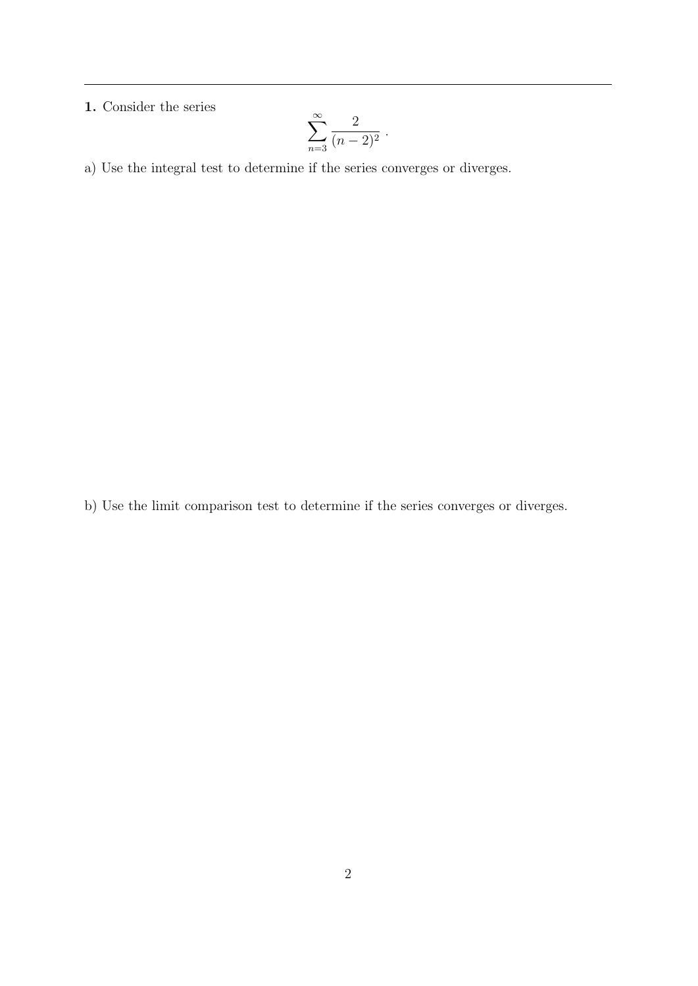## 1. Consider the series

$$
\sum_{n=3}^{\infty} \frac{2}{(n-2)^2} .
$$

a) Use the integral test to determine if the series converges or diverges.

b) Use the limit comparison test to determine if the series converges or diverges.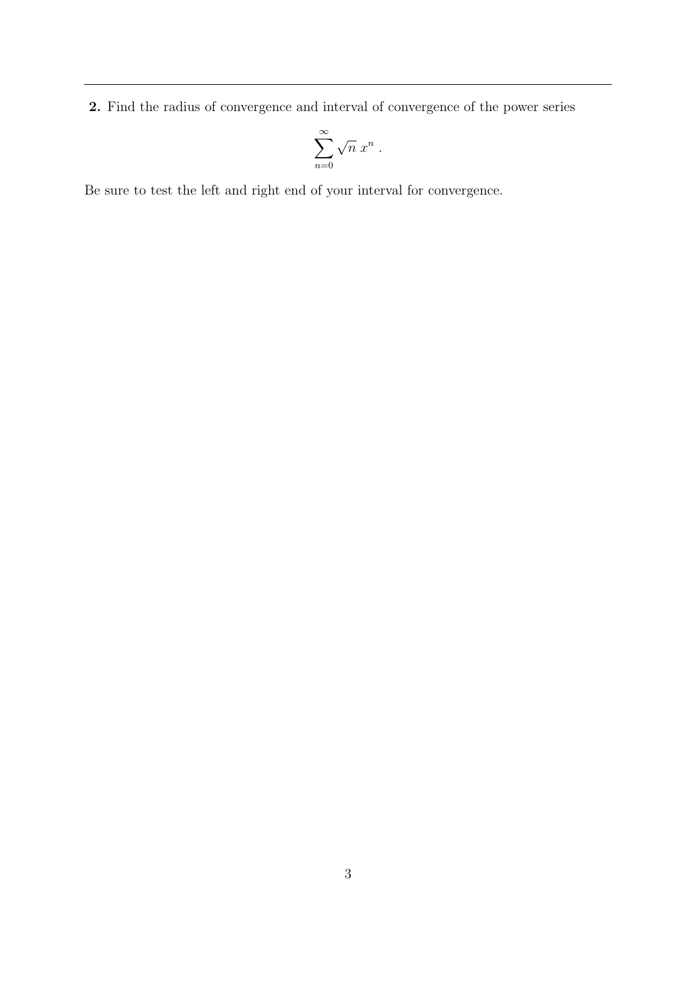2. Find the radius of convergence and interval of convergence of the power series

$$
\sum_{n=0}^{\infty} \sqrt{n} \; x^n \; .
$$

Be sure to test the left and right end of your interval for convergence.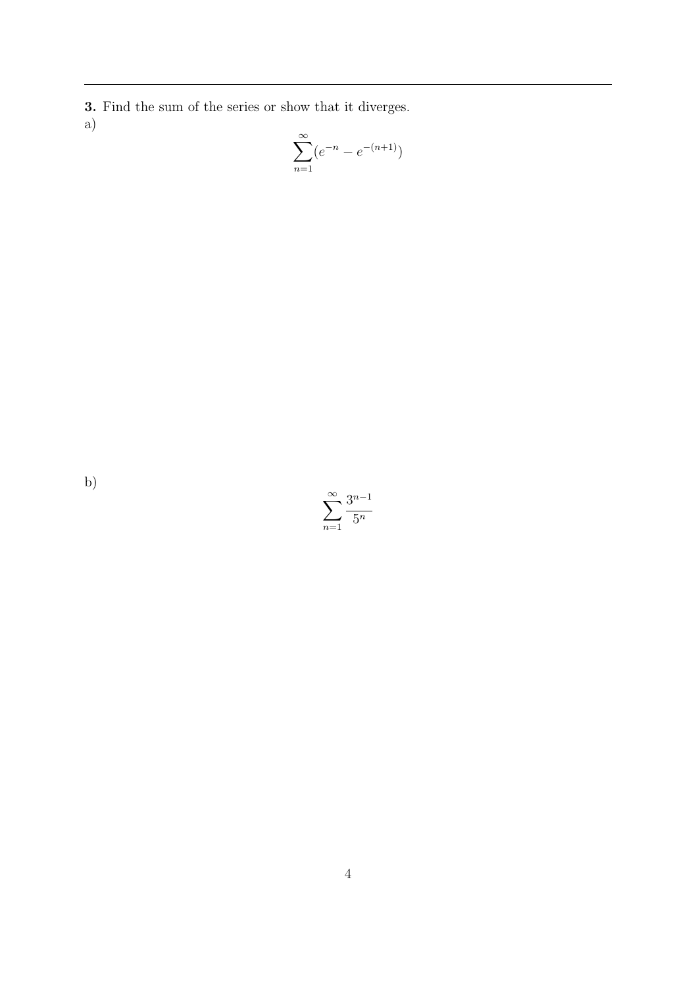3. Find the sum of the series or show that it diverges. a)

$$
\sum_{n=1}^{\infty} (e^{-n} - e^{-(n+1)})
$$

b)

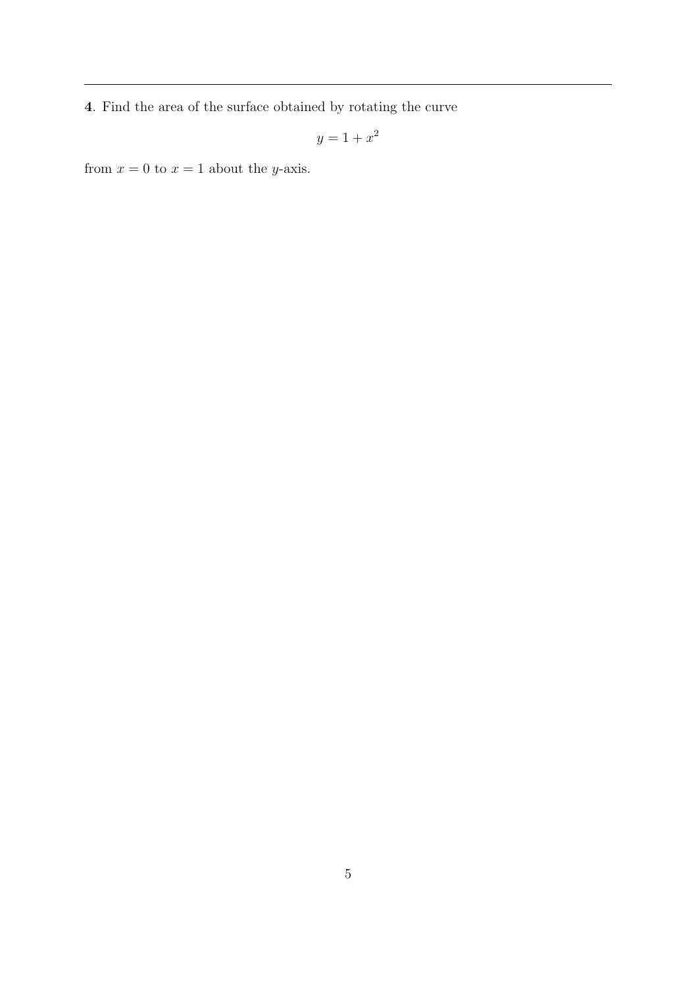4. Find the area of the surface obtained by rotating the curve

$$
y = 1 + x^2
$$

from  $x = 0$  to  $x = 1$  about the *y*-axis.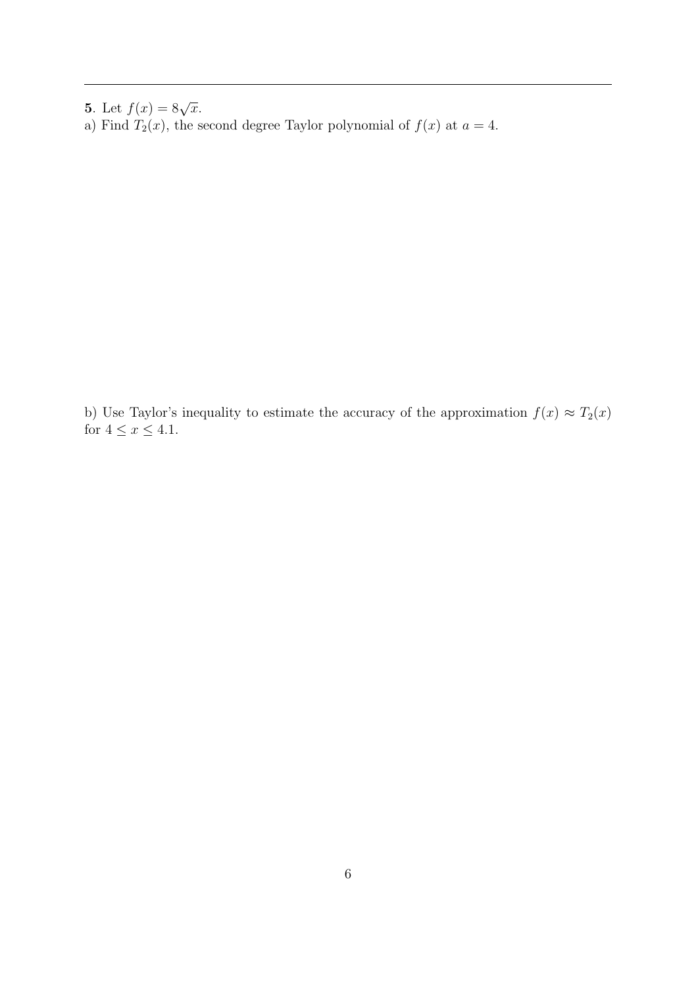**5.** Let  $f(x) = 8\sqrt{x}$ .

a) Find  $T_2(x)$ , the second degree Taylor polynomial of  $f(x)$  at  $a = 4$ .

b) Use Taylor's inequality to estimate the accuracy of the approximation  $f(x) \approx T_2(x)$ for  $4 \leq x \leq 4.1$ .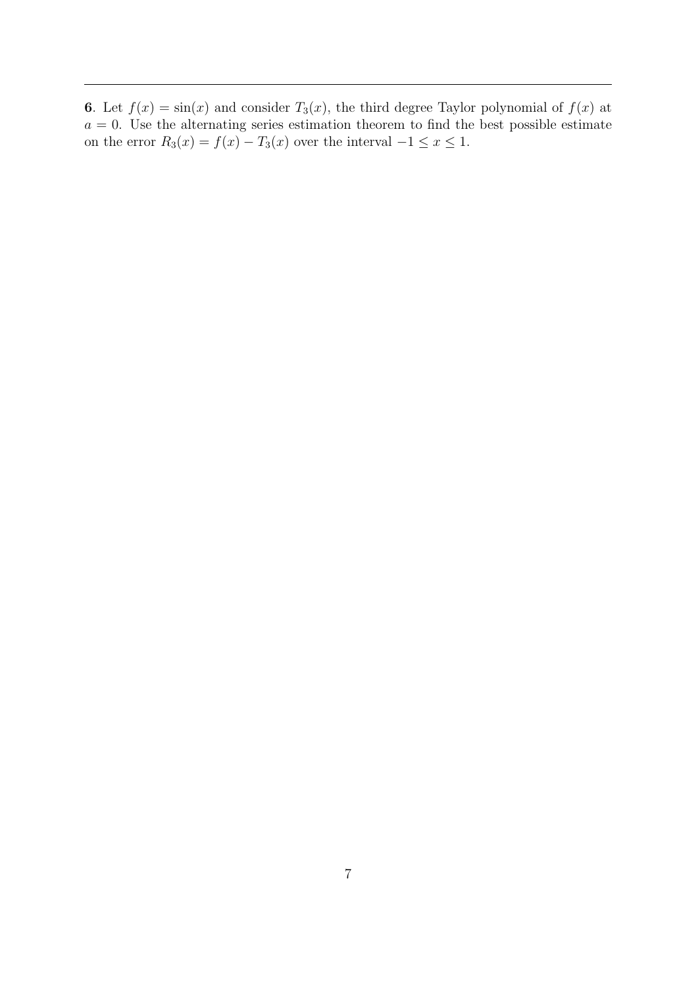6. Let  $f(x) = \sin(x)$  and consider  $T_3(x)$ , the third degree Taylor polynomial of  $f(x)$  at  $a = 0$ . Use the alternating series estimation theorem to find the best possible estimate on the error  $R_3(x) = f(x) - T_3(x)$  over the interval  $-1 \le x \le 1$ .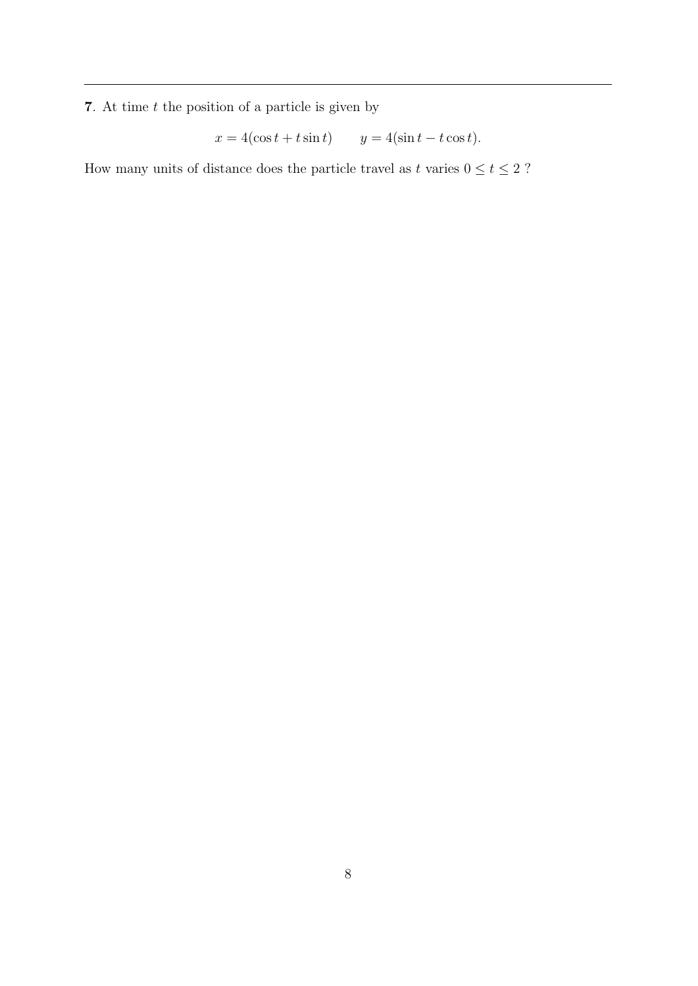${\bf 7}.$  At time  $t$  the position of a particle is given by

$$
x = 4(\cos t + t \sin t) \qquad y = 4(\sin t - t \cos t).
$$

How many units of distance does the particle travel as t varies  $0 \leq t \leq 2$  ?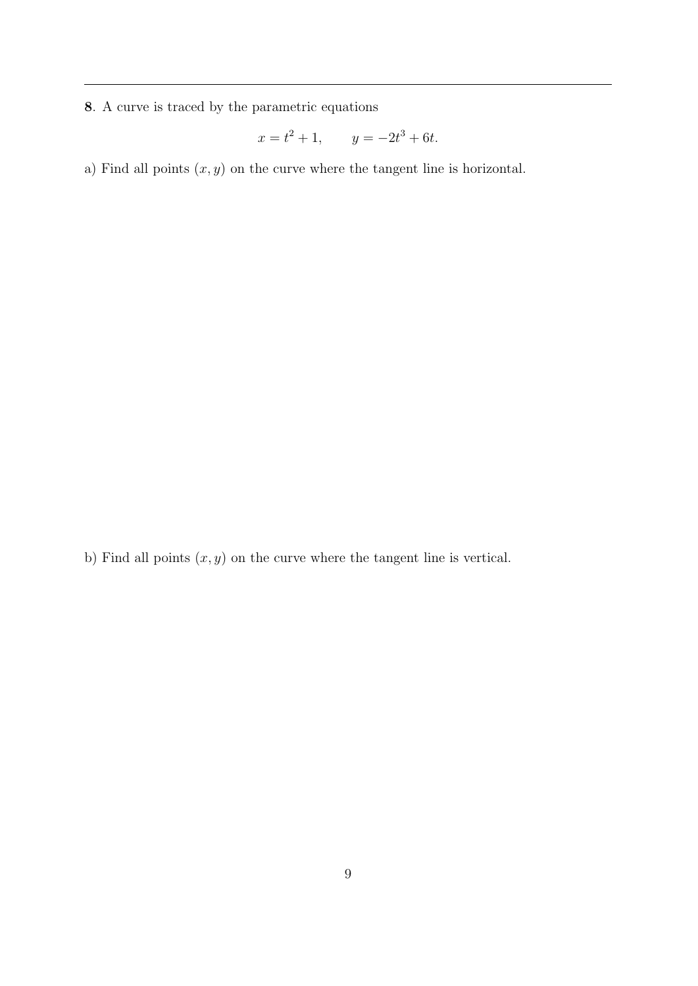8. A curve is traced by the parametric equations

$$
x = t^2 + 1, \qquad y = -2t^3 + 6t.
$$

a) Find all points  $(x, y)$  on the curve where the tangent line is horizontal.

b) Find all points  $(x, y)$  on the curve where the tangent line is vertical.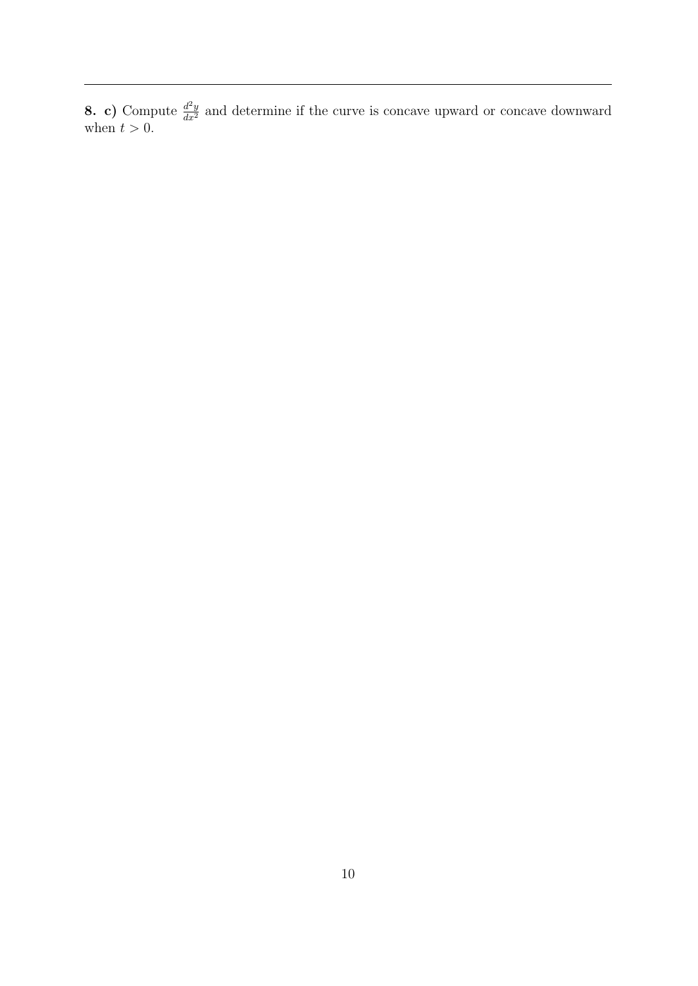**8. c)** Compute  $\frac{d^2y}{dx^2}$  and determine if the curve is concave upward or concave downward when  $t > 0$ .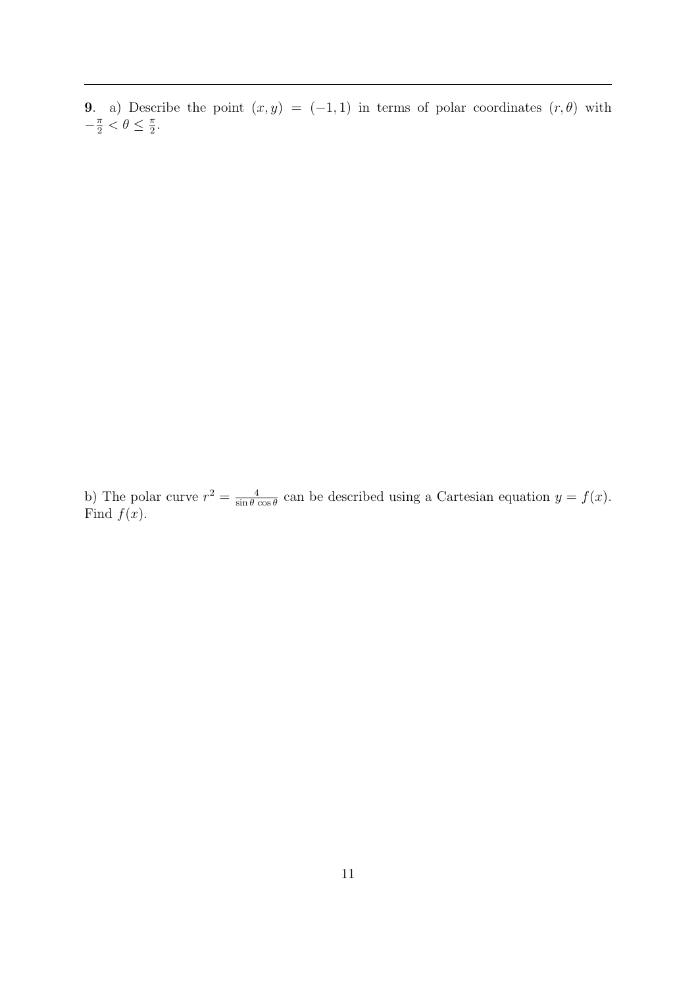**9.** a) Describe the point  $(x, y) = (-1, 1)$  in terms of polar coordinates  $(r, \theta)$  with  $-\frac{\pi}{2} < \theta \leq \frac{\pi}{2}$  $\frac{\pi}{2}$ .

b) The polar curve  $r^2 = \frac{4}{\sin \theta}$  $\frac{4}{\sin \theta \cos \theta}$  can be described using a Cartesian equation  $y = f(x)$ . Find  $f(x)$ .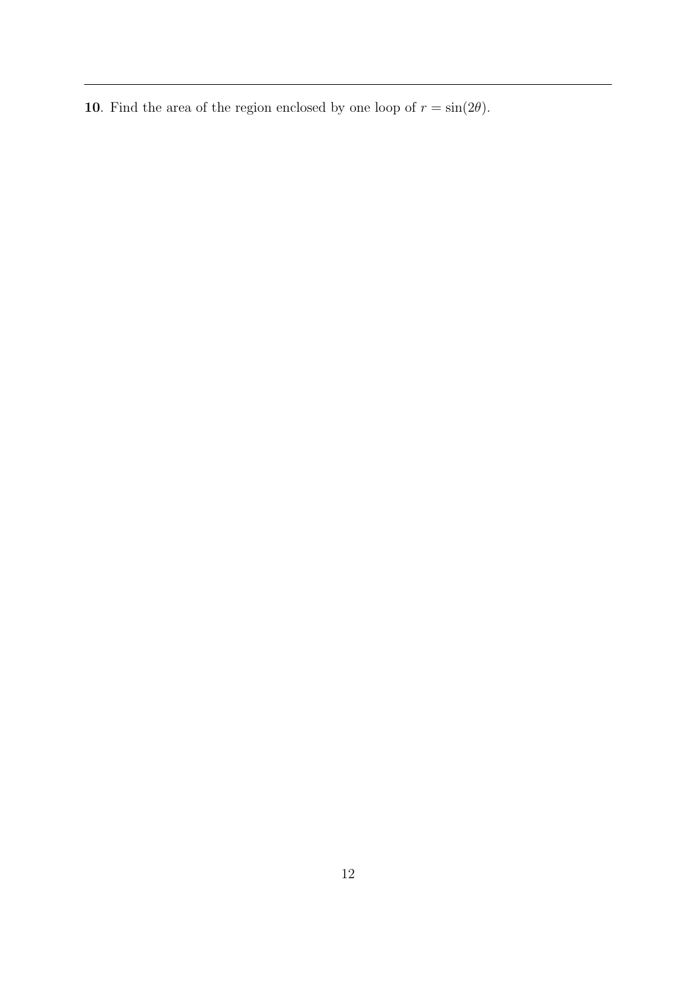**10**. Find the area of the region enclosed by one loop of  $r = \sin(2\theta)$ .